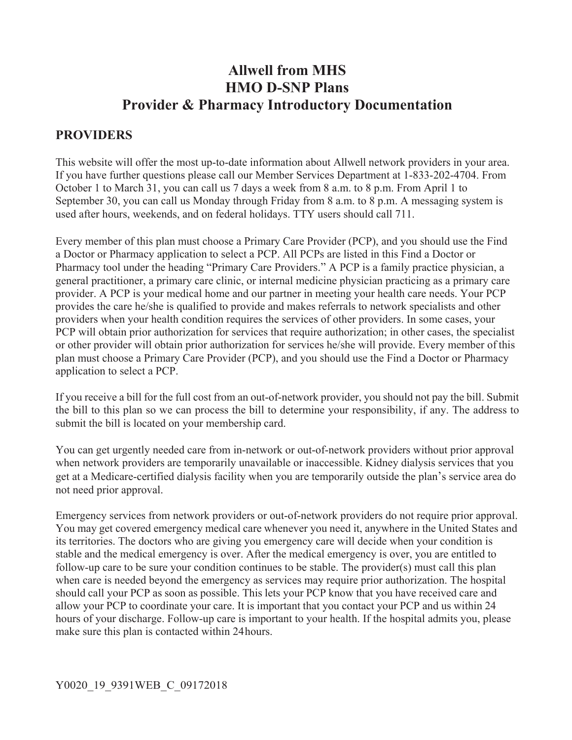# **Allwell from MHS HMO D-SNP Plans Provider & Pharmacy Introductory Documentation**

## **PROVIDERS**

This website will offer the most up-to-date information about Allwell network providers in your area. If you have further questions please call our Member Services Department at 1-833-202-4704. From October 1 to March 31, you can call us 7 days a week from 8 a.m. to 8 p.m. From April 1 to September 30, you can call us Monday through Friday from 8 a.m. to 8 p.m. A messaging system is used after hours, weekends, and on federal holidays. TTY users should call 711.

Every member of this plan must choose a Primary Care Provider (PCP), and you should use the Find a Doctor or Pharmacy application to select a PCP. All PCPs are listed in this Find a Doctor or Pharmacy tool under the heading "Primary Care Providers." A PCP is a family practice physician, a general practitioner, a primary care clinic, or internal medicine physician practicing as a primary care provider. A PCP is your medical home and our partner in meeting your health care needs. Your PCP provides the care he/she is qualified to provide and makes referrals to network specialists and other providers when your health condition requires the services of other providers. In some cases, your PCP will obtain prior authorization for services that require authorization; in other cases, the specialist or other provider will obtain prior authorization for services he/she will provide. Every member of this plan must choose a Primary Care Provider (PCP), and you should use the Find a Doctor or Pharmacy application to select a PCP.

If you receive a bill for the full cost from an out-of-network provider, you should not pay the bill. Submit the bill to this plan so we can process the bill to determine your responsibility, if any. The address to submit the bill is located on your membership card.

You can get urgently needed care from in-network or out-of-network providers without prior approval when network providers are temporarily unavailable or inaccessible. Kidney dialysis services that you get at a Medicare-certified dialysis facility when you are temporarily outside the plan's service area do not need prior approval.

Emergency services from network providers or out-of-network providers do not require prior approval. You may get covered emergency medical care whenever you need it, anywhere in the United States and its territories. The doctors who are giving you emergency care will decide when your condition is stable and the medical emergency is over. After the medical emergency is over, you are entitled to follow-up care to be sure your condition continues to be stable. The provider(s) must call this plan when care is needed beyond the emergency as services may require prior authorization. The hospital should call your PCP as soon as possible. This lets your PCP know that you have received care and allow your PCP to coordinate your care. It is important that you contact your PCP and us within 24 hours of your discharge. Follow-up care is important to your health. If the hospital admits you, please make sure this plan is contacted within 24 hours.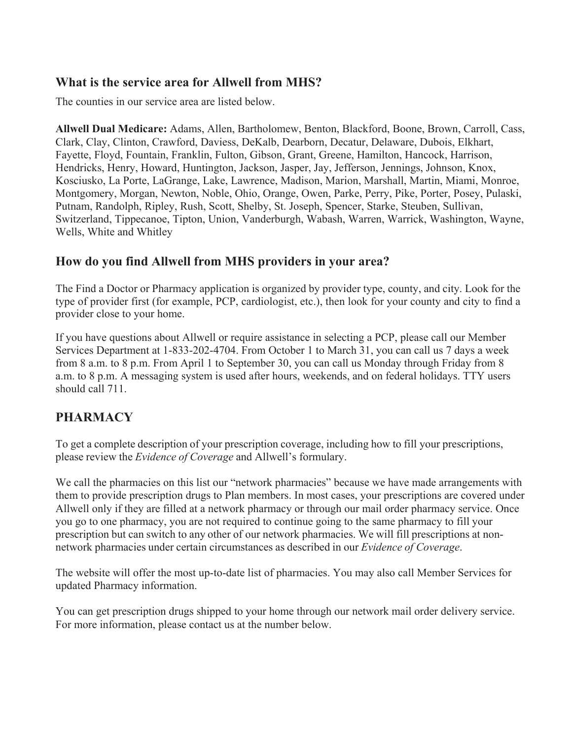#### **What is the service area for Allwell from MHS?**

The counties in our service area are listed below.

**Allwell Dual Medicare:** Adams, Allen, Bartholomew, Benton, Blackford, Boone, Brown, Carroll, Cass, Clark, Clay, Clinton, Crawford, Daviess, DeKalb, Dearborn, Decatur, Delaware, Dubois, Elkhart, Fayette, Floyd, Fountain, Franklin, Fulton, Gibson, Grant, Greene, Hamilton, Hancock, Harrison, Hendricks, Henry, Howard, Huntington, Jackson, Jasper, Jay, Jefferson, Jennings, Johnson, Knox, Kosciusko, La Porte, LaGrange, Lake, Lawrence, Madison, Marion, Marshall, Martin, Miami, Monroe, Montgomery, Morgan, Newton, Noble, Ohio, Orange, Owen, Parke, Perry, Pike, Porter, Posey, Pulaski, Putnam, Randolph, Ripley, Rush, Scott, Shelby, St. Joseph, Spencer, Starke, Steuben, Sullivan, Switzerland, Tippecanoe, Tipton, Union, Vanderburgh, Wabash, Warren, Warrick, Washington, Wayne, Wells, White and Whitley

### **How do you find Allwell from MHS providers in your area?**

The Find a Doctor or Pharmacy application is organized by provider type, county, and city. Look for the type of provider first (for example, PCP, cardiologist, etc.), then look for your county and city to find a provider close to your home.

If you have questions about Allwell or require assistance in selecting a PCP, please call our Member Services Department at 1-833-202-4704. From October 1 to March 31, you can call us 7 days a week from 8 a.m. to 8 p.m. From April 1 to September 30, you can call us Monday through Friday from 8 a.m. to 8 p.m. A messaging system is used after hours, weekends, and on federal holidays. TTY users should call 711.

# **PHARMACY**

To get a complete description of your prescription coverage, including how to fill your prescriptions, please review the *Evidence of Coverage* and Allwell's formulary.

We call the pharmacies on this list our "network pharmacies" because we have made arrangements with them to provide prescription drugs to Plan members. In most cases, your prescriptions are covered under Allwell only if they are filled at a network pharmacy or through our mail order pharmacy service. Once you go to one pharmacy, you are not required to continue going to the same pharmacy to fill your prescription but can switch to any other of our network pharmacies. We will fill prescriptions at nonnetwork pharmacies under certain circumstances as described in our *Evidence of Coverage*.

The website will offer the most up-to-date list of pharmacies. You may also call Member Services for updated Pharmacy information.

You can get prescription drugs shipped to your home through our network mail order delivery service. For more information, please contact us at the number below.